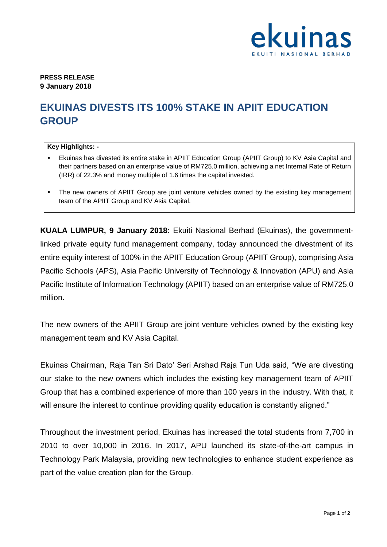

**PRESS RELEASE 9 January 2018**

## **EKUINAS DIVESTS ITS 100% STAKE IN APIIT EDUCATION GROUP**

## **Key Highlights: -**

- Ekuinas has divested its entire stake in APIIT Education Group (APIIT Group) to KV Asia Capital and their partners based on an enterprise value of RM725.0 million, achieving a net Internal Rate of Return (IRR) of 22.3% and money multiple of 1.6 times the capital invested.
- The new owners of APIIT Group are joint venture vehicles owned by the existing key management team of the APIIT Group and KV Asia Capital.

**KUALA LUMPUR, 9 January 2018:** Ekuiti Nasional Berhad (Ekuinas), the governmentlinked private equity fund management company, today announced the divestment of its entire equity interest of 100% in the APIIT Education Group (APIIT Group), comprising Asia Pacific Schools (APS), Asia Pacific University of Technology & Innovation (APU) and Asia Pacific Institute of Information Technology (APIIT) based on an enterprise value of RM725.0 million.

The new owners of the APIIT Group are joint venture vehicles owned by the existing key management team and KV Asia Capital.

Ekuinas Chairman, Raja Tan Sri Dato' Seri Arshad Raja Tun Uda said, "We are divesting our stake to the new owners which includes the existing key management team of APIIT Group that has a combined experience of more than 100 years in the industry. With that, it will ensure the interest to continue providing quality education is constantly aligned."

Throughout the investment period, Ekuinas has increased the total students from 7,700 in 2010 to over 10,000 in 2016. In 2017, APU launched its state-of-the-art campus in Technology Park Malaysia, providing new technologies to enhance student experience as part of the value creation plan for the Group.